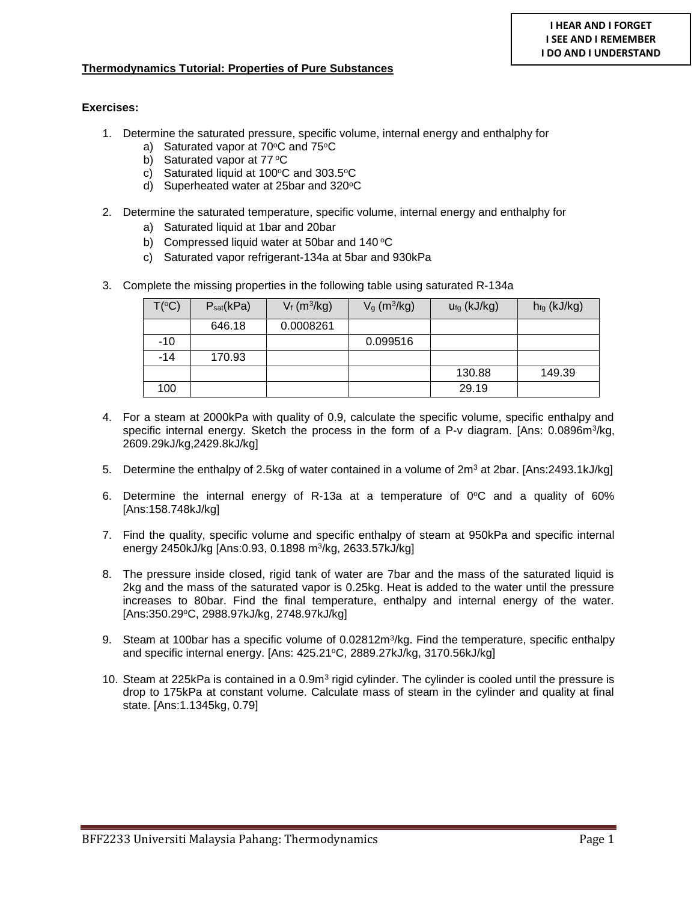## **Thermodynamics Tutorial: Properties of Pure Substances**

## **Exercises:**

- 1. Determine the saturated pressure, specific volume, internal energy and enthalphy for
	- a) Saturated vapor at  $70^{\circ}$ C and  $75^{\circ}$ C
	- b) Saturated vapor at  $77^{\circ}$ C
	- c) Saturated liquid at  $100^{\circ}$ C and  $303.5^{\circ}$ C
	- d) Superheated water at 25bar and 320°C
- 2. Determine the saturated temperature, specific volume, internal energy and enthalphy for
	- a) Saturated liquid at 1bar and 20bar
	- b) Compressed liquid water at 50 bar and  $140^{\circ}$ C
	- c) Saturated vapor refrigerant-134a at 5bar and 930kPa
- 3. Complete the missing properties in the following table using saturated R-134a

| $T(^{\circ}C)$ | $P_{sat}$ (kPa) | $V_f$ (m <sup>3</sup> /kg) | $Vg$ (m <sup>3</sup> /kg) | $Ufg$ (kJ/kg) | $h_{fg}$ (kJ/kg) |
|----------------|-----------------|----------------------------|---------------------------|---------------|------------------|
|                | 646.18          | 0.0008261                  |                           |               |                  |
| $-10$          |                 |                            | 0.099516                  |               |                  |
| $-14$          | 170.93          |                            |                           |               |                  |
|                |                 |                            |                           | 130.88        | 149.39           |
| 100            |                 |                            |                           | 29.19         |                  |

- 4. For a steam at 2000kPa with quality of 0.9, calculate the specific volume, specific enthalpy and specific internal energy. Sketch the process in the form of a P-v diagram. [Ans: 0.0896m<sup>3</sup>/kg, 2609.29kJ/kg,2429.8kJ/kg]
- 5. Determine the enthalpy of 2.5kg of water contained in a volume of  $2m^3$  at 2bar. [Ans:2493.1kJ/kg]
- 6. Determine the internal energy of R-13a at a temperature of  $0^{\circ}$ C and a quality of 60% [Ans:158.748kJ/kg]
- 7. Find the quality, specific volume and specific enthalpy of steam at 950kPa and specific internal energy 2450kJ/kg [Ans:0.93, 0.1898 m<sup>3</sup>/kg, 2633.57kJ/kg]
- 8. The pressure inside closed, rigid tank of water are 7bar and the mass of the saturated liquid is 2kg and the mass of the saturated vapor is 0.25kg. Heat is added to the water until the pressure increases to 80bar. Find the final temperature, enthalpy and internal energy of the water. [Ans:350.29°C, 2988.97kJ/kg, 2748.97kJ/kg]
- 9. Steam at 100bar has a specific volume of 0.02812m<sup>3</sup>/kg. Find the temperature, specific enthalpy and specific internal energy. [Ans: 425.21°C, 2889.27kJ/kg, 3170.56kJ/kg]
- 10. Steam at 225kPa is contained in a 0.9m<sup>3</sup> rigid cylinder. The cylinder is cooled until the pressure is drop to 175kPa at constant volume. Calculate mass of steam in the cylinder and quality at final state. [Ans:1.1345kg, 0.79]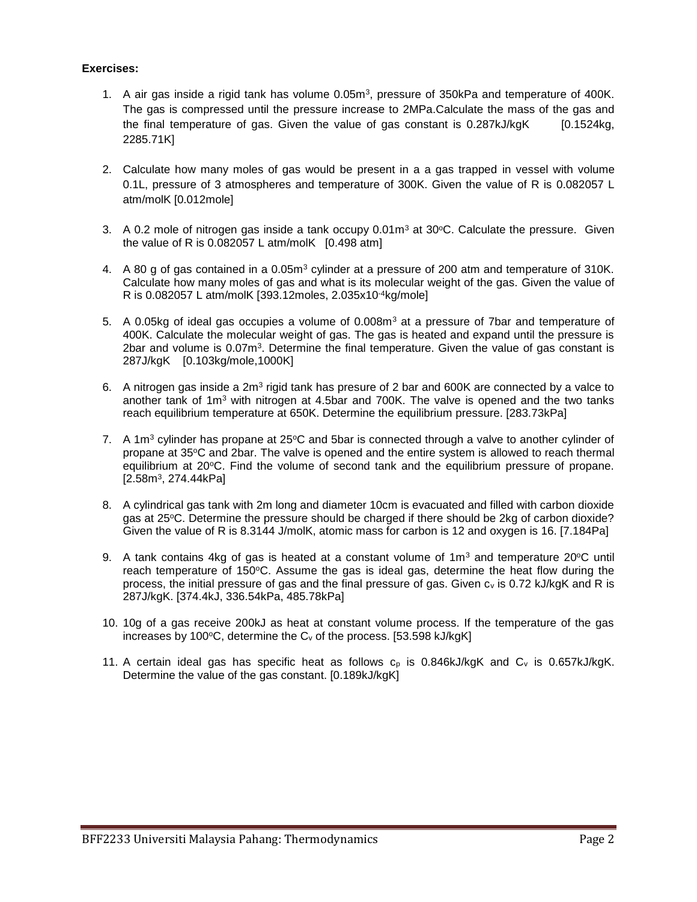## **Exercises:**

- 1. A air gas inside a rigid tank has volume  $0.05m<sup>3</sup>$ , pressure of 350kPa and temperature of 400K. The gas is compressed until the pressure increase to 2MPa.Calculate the mass of the gas and the final temperature of gas. Given the value of gas constant is  $0.287kJ/kgK$  [0.1524kg, 2285.71K]
- 2. Calculate how many moles of gas would be present in a a gas trapped in vessel with volume 0.1L, pressure of 3 atmospheres and temperature of 300K. Given the value of R is 0.082057 L atm/molK [0.012mole]
- 3. A 0.2 mole of nitrogen gas inside a tank occupy  $0.01m<sup>3</sup>$  at  $30°C$ . Calculate the pressure. Given the value of R is  $0.082057$  L atm/molK  $[0.498$  atm]
- 4. A 80 g of gas contained in a 0.05m<sup>3</sup> cylinder at a pressure of 200 atm and temperature of 310K. Calculate how many moles of gas and what is its molecular weight of the gas. Given the value of R is 0.082057 L atm/molK [393.12moles, 2.035x10-4kg/mole]
- 5. A 0.05kg of ideal gas occupies a volume of  $0.008m<sup>3</sup>$  at a pressure of 7bar and temperature of 400K. Calculate the molecular weight of gas. The gas is heated and expand until the pressure is 2bar and volume is  $0.07<sup>m3</sup>$ . Determine the final temperature. Given the value of gas constant is 287J/kgK [0.103kg/mole,1000K]
- 6. A nitrogen gas inside a 2m<sup>3</sup> rigid tank has presure of 2 bar and 600K are connected by a valce to another tank of 1m<sup>3</sup> with nitrogen at 4.5bar and 700K. The valve is opened and the two tanks reach equilibrium temperature at 650K. Determine the equilibrium pressure. [283.73kPa]
- 7. A 1 $m<sup>3</sup>$  cylinder has propane at 25 $\degree$ C and 5bar is connected through a valve to another cylinder of propane at 35°C and 2bar. The valve is opened and the entire system is allowed to reach thermal equilibrium at 20 °C. Find the volume of second tank and the equilibrium pressure of propane. [2.58m<sup>3</sup>, 274.44kPa]
- 8. A cylindrical gas tank with 2m long and diameter 10cm is evacuated and filled with carbon dioxide gas at 25°C. Determine the pressure should be charged if there should be 2kg of carbon dioxide? Given the value of R is 8.3144 J/molK, atomic mass for carbon is 12 and oxygen is 16. [7.184Pa]
- 9. A tank contains 4kg of gas is heated at a constant volume of 1m<sup>3</sup> and temperature 20°C until reach temperature of 150 $\degree$ C. Assume the gas is ideal gas, determine the heat flow during the process, the initial pressure of gas and the final pressure of gas. Given  $c_v$  is 0.72 kJ/kgK and R is 287J/kgK. [374.4kJ, 336.54kPa, 485.78kPa]
- 10. 10g of a gas receive 200kJ as heat at constant volume process. If the temperature of the gas increases by 100 $\degree$ C, determine the C<sub>v</sub> of the process. [53.598 kJ/kgK]
- 11. A certain ideal gas has specific heat as follows  $c_p$  is 0.846kJ/kgK and  $C_v$  is 0.657kJ/kgK. Determine the value of the gas constant. [0.189kJ/kgK]